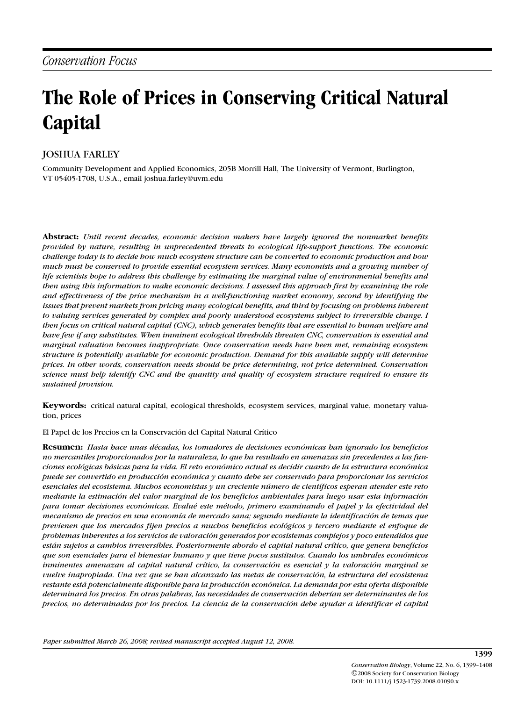# **The Role of Prices in Conserving Critical Natural Capital**

# JOSHUA FARLEY

Community Development and Applied Economics, 205B Morrill Hall, The University of Vermont, Burlington, VT 05405-1708, U.S.A., email joshua.farley@uvm.edu

**Abstract:** *Until recent decades, economic decision makers have largely ignored the nonmarket benefits provided by nature, resulting in unprecedented threats to ecological life-support functions. The economic challenge today is to decide how much ecosystem structure can be converted to economic production and how much must be conserved to provide essential ecosystem services. Many economists and a growing number of life scientists hope to address this challenge by estimating the marginal value of environmental benefits and then using this information to make economic decisions. I assessed this approach first by examining the role and effectiveness of the price mechanism in a well-functioning market economy, second by identifying the issues that prevent markets from pricing many ecological benefits, and third by focusing on problems inherent to valuing services generated by complex and poorly understood ecosystems subject to irreversible change. I then focus on critical natural capital (CNC), which generates benefits that are essential to human welfare and have few if any substitutes. When imminent ecological thresholds threaten CNC, conservation is essential and marginal valuation becomes inappropriate. Once conservation needs have been met, remaining ecosystem structure is potentially available for economic production. Demand for this available supply will determine prices. In other words, conservation needs should be price determining, not price determined. Conservation science must help identify CNC and the quantity and quality of ecosystem structure required to ensure its sustained provision.*

**Keywords:** critical natural capital, ecological thresholds, ecosystem services, marginal value, monetary valuation, prices

#### El Papel de los Precios en la Conservación del Capital Natural Crítico

**Resumen:** *Hasta hace unas d´ecadas, los tomadores de decisiones economicas han ignorado los beneficios ´ no mercantiles proporcionados por la naturaleza, lo que ha resultado en amenazas sin precedentes a las funciones ecologicas b ´ asicas para la vida. El reto econ ´ omico actual es decidir cuanto de la estructura econ ´ omica ´ puede ser convertido en produccion econ ´ omica y cuanto debe ser conservado para proporcionar los servicios ´ esenciales del ecosistema. Muchos economistas y un creciente numero de cient ´ ´ıficos esperan atender este reto mediante la estimacion del valor marginal de los beneficios ambientales para luego usar esta informaci ´ on´ para tomar decisiones económicas. Evalué este método, primero examinando el papel y la efectividad del mecanismo de precios en una econom´ıa de mercado sana; segundo mediante la identificacion de temas que ´ previenen que los mercados fijen precios a muchos beneficios ecologicos y tercero mediante el enfoque de ´ problemas inherentes a los servicios de valoracion generados por ecosistemas complejos y poco entendidos que ´ estan sujetos a cambios irreversibles. Posteriormente abordo el capital natural cr ´ ´ıtico, que genera beneficios que son esenciales para el bienestar humano y que tiene pocos sustitutos. Cuando los umbrales economicos ´ inminentes amenazan al capital natural crítico, la conservación es esencial y la valoración marginal se vuelve inapropiada. Una vez que se han alcanzado las metas de conservacion, la estructura del ecosistema ´ restante esta potencialmente disponible para la producci ´ on econ ´ omica. La demanda por esta oferta disponible ´ determinara los precios. En otras palabras, las necesidades de conservaci ´ on deber ´ ´ıan ser determinantes de los precios, no determinadas por los precios. La ciencia de la conservacion debe ayudar a identificar el capital ´*

**1399**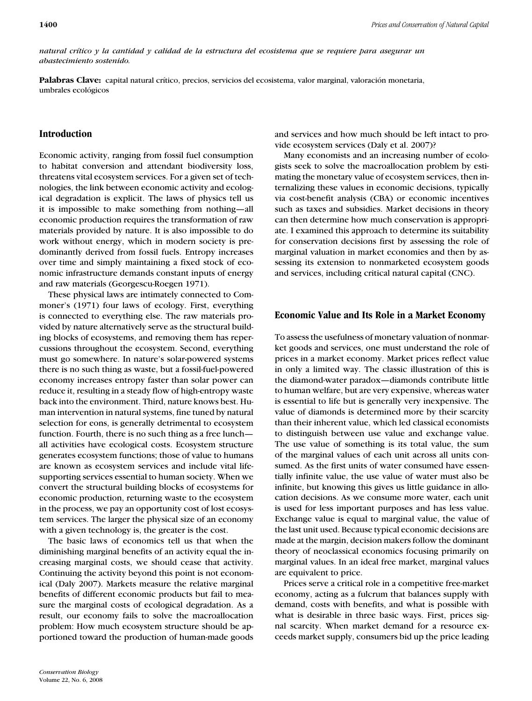*natural cr´ıtico y la cantidad y calidad de la estructura del ecosistema que se requiere para asegurar un abastecimiento sostenido.*

Palabras Clave: capital natural crítico, precios, servicios del ecosistema, valor marginal, valoración monetaria, umbrales ecológicos

#### **Introduction**

Economic activity, ranging from fossil fuel consumption to habitat conversion and attendant biodiversity loss, threatens vital ecosystem services. For a given set of technologies, the link between economic activity and ecological degradation is explicit. The laws of physics tell us it is impossible to make something from nothing—all economic production requires the transformation of raw materials provided by nature. It is also impossible to do work without energy, which in modern society is predominantly derived from fossil fuels. Entropy increases over time and simply maintaining a fixed stock of economic infrastructure demands constant inputs of energy and raw materials (Georgescu-Roegen 1971).

These physical laws are intimately connected to Commoner's (1971) four laws of ecology. First, everything is connected to everything else. The raw materials provided by nature alternatively serve as the structural building blocks of ecosystems, and removing them has repercussions throughout the ecosystem. Second, everything must go somewhere. In nature's solar-powered systems there is no such thing as waste, but a fossil-fuel-powered economy increases entropy faster than solar power can reduce it, resulting in a steady flow of high-entropy waste back into the environment. Third, nature knows best. Human intervention in natural systems, fine tuned by natural selection for eons, is generally detrimental to ecosystem function. Fourth, there is no such thing as a free lunch all activities have ecological costs. Ecosystem structure generates ecosystem functions; those of value to humans are known as ecosystem services and include vital lifesupporting services essential to human society. When we convert the structural building blocks of ecosystems for economic production, returning waste to the ecosystem in the process, we pay an opportunity cost of lost ecosystem services. The larger the physical size of an economy with a given technology is, the greater is the cost.

The basic laws of economics tell us that when the diminishing marginal benefits of an activity equal the increasing marginal costs, we should cease that activity. Continuing the activity beyond this point is not economical (Daly 2007). Markets measure the relative marginal benefits of different economic products but fail to measure the marginal costs of ecological degradation. As a result, our economy fails to solve the macroallocation problem: How much ecosystem structure should be apportioned toward the production of human-made goods

and services and how much should be left intact to provide ecosystem services (Daly et al. 2007)?

Many economists and an increasing number of ecologists seek to solve the macroallocation problem by estimating the monetary value of ecosystem services, then internalizing these values in economic decisions, typically via cost-benefit analysis (CBA) or economic incentives such as taxes and subsidies. Market decisions in theory can then determine how much conservation is appropriate. I examined this approach to determine its suitability for conservation decisions first by assessing the role of marginal valuation in market economies and then by assessing its extension to nonmarketed ecosystem goods and services, including critical natural capital (CNC).

#### **Economic Value and Its Role in a Market Economy**

To assess the usefulness of monetary valuation of nonmarket goods and services, one must understand the role of prices in a market economy. Market prices reflect value in only a limited way. The classic illustration of this is the diamond-water paradox—diamonds contribute little to human welfare, but are very expensive, whereas water is essential to life but is generally very inexpensive. The value of diamonds is determined more by their scarcity than their inherent value, which led classical economists to distinguish between use value and exchange value. The use value of something is its total value, the sum of the marginal values of each unit across all units consumed. As the first units of water consumed have essentially infinite value, the use value of water must also be infinite, but knowing this gives us little guidance in allocation decisions. As we consume more water, each unit is used for less important purposes and has less value. Exchange value is equal to marginal value, the value of the last unit used. Because typical economic decisions are made at the margin, decision makers follow the dominant theory of neoclassical economics focusing primarily on marginal values. In an ideal free market, marginal values are equivalent to price.

Prices serve a critical role in a competitive free-market economy, acting as a fulcrum that balances supply with demand, costs with benefits, and what is possible with what is desirable in three basic ways. First, prices signal scarcity. When market demand for a resource exceeds market supply, consumers bid up the price leading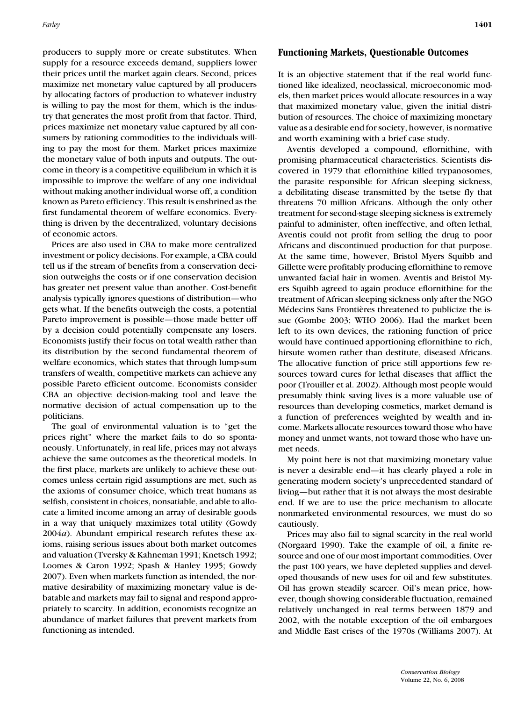producers to supply more or create substitutes. When supply for a resource exceeds demand, suppliers lower their prices until the market again clears. Second, prices maximize net monetary value captured by all producers by allocating factors of production to whatever industry is willing to pay the most for them, which is the industry that generates the most profit from that factor. Third, prices maximize net monetary value captured by all consumers by rationing commodities to the individuals willing to pay the most for them. Market prices maximize the monetary value of both inputs and outputs. The outcome in theory is a competitive equilibrium in which it is impossible to improve the welfare of any one individual without making another individual worse off, a condition known as Pareto efficiency. This result is enshrined as the first fundamental theorem of welfare economics. Everything is driven by the decentralized, voluntary decisions of economic actors.

Prices are also used in CBA to make more centralized investment or policy decisions. For example, a CBA could tell us if the stream of benefits from a conservation decision outweighs the costs or if one conservation decision has greater net present value than another. Cost-benefit analysis typically ignores questions of distribution—who gets what. If the benefits outweigh the costs, a potential Pareto improvement is possible—those made better off by a decision could potentially compensate any losers. Economists justify their focus on total wealth rather than its distribution by the second fundamental theorem of welfare economics, which states that through lump-sum transfers of wealth, competitive markets can achieve any possible Pareto efficient outcome. Economists consider CBA an objective decision-making tool and leave the normative decision of actual compensation up to the politicians.

The goal of environmental valuation is to "get the prices right" where the market fails to do so spontaneously. Unfortunately, in real life, prices may not always achieve the same outcomes as the theoretical models. In the first place, markets are unlikely to achieve these outcomes unless certain rigid assumptions are met, such as the axioms of consumer choice, which treat humans as selfish, consistent in choices, nonsatiable, and able to allocate a limited income among an array of desirable goods in a way that uniquely maximizes total utility (Gowdy 2004*a*). Abundant empirical research refutes these axioms, raising serious issues about both market outcomes and valuation (Tversky & Kahneman 1991; Knetsch 1992; Loomes & Caron 1992; Spash & Hanley 1995; Gowdy 2007). Even when markets function as intended, the normative desirability of maximizing monetary value is debatable and markets may fail to signal and respond appropriately to scarcity. In addition, economists recognize an abundance of market failures that prevent markets from functioning as intended.

#### **Functioning Markets, Questionable Outcomes**

It is an objective statement that if the real world functioned like idealized, neoclassical, microeconomic models, then market prices would allocate resources in a way that maximized monetary value, given the initial distribution of resources. The choice of maximizing monetary value as a desirable end for society, however, is normative and worth examining with a brief case study.

Aventis developed a compound, eflornithine, with promising pharmaceutical characteristics. Scientists discovered in 1979 that eflornithine killed trypanosomes, the parasite responsible for African sleeping sickness, a debilitating disease transmitted by the tsetse fly that threatens 70 million Africans. Although the only other treatment for second-stage sleeping sickness is extremely painful to administer, often ineffective, and often lethal, Aventis could not profit from selling the drug to poor Africans and discontinued production for that purpose. At the same time, however, Bristol Myers Squibb and Gillette were profitably producing eflornithine to remove unwanted facial hair in women. Aventis and Bristol Myers Squibb agreed to again produce eflornithine for the treatment of African sleeping sickness only after the NGO Médecins Sans Frontières threatened to publicize the issue (Gombe 2003; WHO 2006). Had the market been left to its own devices, the rationing function of price would have continued apportioning eflornithine to rich, hirsute women rather than destitute, diseased Africans. The allocative function of price still apportions few resources toward cures for lethal diseases that afflict the poor (Trouiller et al. 2002). Although most people would presumably think saving lives is a more valuable use of resources than developing cosmetics, market demand is a function of preferences weighted by wealth and income. Markets allocate resources toward those who have money and unmet wants, not toward those who have unmet needs.

My point here is not that maximizing monetary value is never a desirable end—it has clearly played a role in generating modern society's unprecedented standard of living—but rather that it is not always the most desirable end. If we are to use the price mechanism to allocate nonmarketed environmental resources, we must do so cautiously.

Prices may also fail to signal scarcity in the real world (Norgaard 1990). Take the example of oil, a finite resource and one of our most important commodities. Over the past 100 years, we have depleted supplies and developed thousands of new uses for oil and few substitutes. Oil has grown steadily scarcer. Oil's mean price, however, though showing considerable fluctuation, remained relatively unchanged in real terms between 1879 and 2002, with the notable exception of the oil embargoes and Middle East crises of the 1970s (Williams 2007). At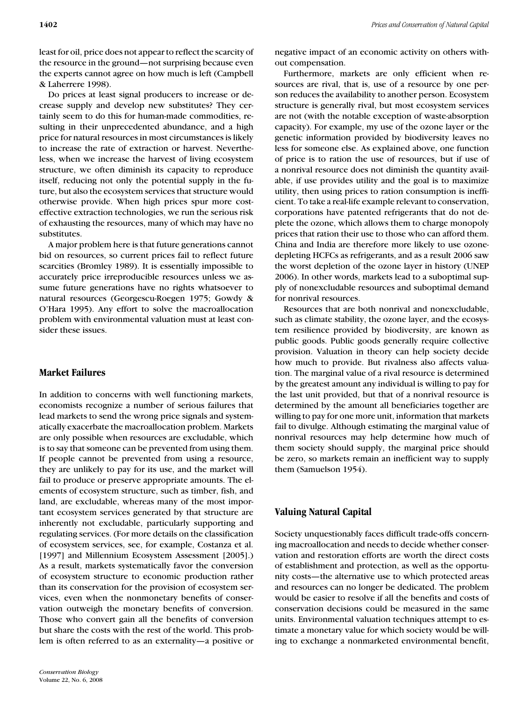least for oil, price does not appear to reflect the scarcity of the resource in the ground—not surprising because even the experts cannot agree on how much is left (Campbell & Laherrere 1998).

Do prices at least signal producers to increase or decrease supply and develop new substitutes? They certainly seem to do this for human-made commodities, resulting in their unprecedented abundance, and a high price for natural resources in most circumstances is likely to increase the rate of extraction or harvest. Nevertheless, when we increase the harvest of living ecosystem structure, we often diminish its capacity to reproduce itself, reducing not only the potential supply in the future, but also the ecosystem services that structure would otherwise provide. When high prices spur more costeffective extraction technologies, we run the serious risk of exhausting the resources, many of which may have no substitutes.

A major problem here is that future generations cannot bid on resources, so current prices fail to reflect future scarcities (Bromley 1989). It is essentially impossible to accurately price irreproducible resources unless we assume future generations have no rights whatsoever to natural resources (Georgescu-Roegen 1975; Gowdy & O'Hara 1995). Any effort to solve the macroallocation problem with environmental valuation must at least consider these issues.

## **Market Failures**

In addition to concerns with well functioning markets, economists recognize a number of serious failures that lead markets to send the wrong price signals and systematically exacerbate the macroallocation problem. Markets are only possible when resources are excludable, which is to say that someone can be prevented from using them. If people cannot be prevented from using a resource, they are unlikely to pay for its use, and the market will fail to produce or preserve appropriate amounts. The elements of ecosystem structure, such as timber, fish, and land, are excludable, whereas many of the most important ecosystem services generated by that structure are inherently not excludable, particularly supporting and regulating services. (For more details on the classification of ecosystem services, see, for example, Costanza et al. [1997] and Millennium Ecosystem Assessment [2005].) As a result, markets systematically favor the conversion of ecosystem structure to economic production rather than its conservation for the provision of ecosystem services, even when the nonmonetary benefits of conservation outweigh the monetary benefits of conversion. Those who convert gain all the benefits of conversion but share the costs with the rest of the world. This problem is often referred to as an externality—a positive or

negative impact of an economic activity on others without compensation.

Furthermore, markets are only efficient when resources are rival, that is, use of a resource by one person reduces the availability to another person. Ecosystem structure is generally rival, but most ecosystem services are not (with the notable exception of waste-absorption capacity). For example, my use of the ozone layer or the genetic information provided by biodiversity leaves no less for someone else. As explained above, one function of price is to ration the use of resources, but if use of a nonrival resource does not diminish the quantity available, if use provides utility and the goal is to maximize utility, then using prices to ration consumption is inefficient. To take a real-life example relevant to conservation, corporations have patented refrigerants that do not deplete the ozone, which allows them to charge monopoly prices that ration their use to those who can afford them. China and India are therefore more likely to use ozonedepleting HCFCs as refrigerants, and as a result 2006 saw the worst depletion of the ozone layer in history (UNEP 2006). In other words, markets lead to a suboptimal supply of nonexcludable resources and suboptimal demand for nonrival resources.

Resources that are both nonrival and nonexcludable, such as climate stability, the ozone layer, and the ecosystem resilience provided by biodiversity, are known as public goods. Public goods generally require collective provision. Valuation in theory can help society decide how much to provide. But rivalness also affects valuation. The marginal value of a rival resource is determined by the greatest amount any individual is willing to pay for the last unit provided, but that of a nonrival resource is determined by the amount all beneficiaries together are willing to pay for one more unit, information that markets fail to divulge. Although estimating the marginal value of nonrival resources may help determine how much of them society should supply, the marginal price should be zero, so markets remain an inefficient way to supply them (Samuelson 1954).

## **Valuing Natural Capital**

Society unquestionably faces difficult trade-offs concerning macroallocation and needs to decide whether conservation and restoration efforts are worth the direct costs of establishment and protection, as well as the opportunity costs—the alternative use to which protected areas and resources can no longer be dedicated. The problem would be easier to resolve if all the benefits and costs of conservation decisions could be measured in the same units. Environmental valuation techniques attempt to estimate a monetary value for which society would be willing to exchange a nonmarketed environmental benefit,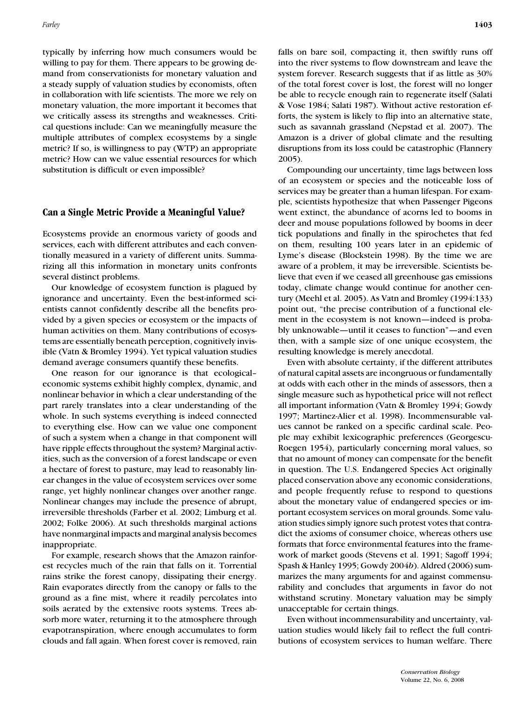typically by inferring how much consumers would be willing to pay for them. There appears to be growing demand from conservationists for monetary valuation and a steady supply of valuation studies by economists, often in collaboration with life scientists. The more we rely on monetary valuation, the more important it becomes that we critically assess its strengths and weaknesses. Critical questions include: Can we meaningfully measure the multiple attributes of complex ecosystems by a single metric? If so, is willingness to pay (WTP) an appropriate metric? How can we value essential resources for which substitution is difficult or even impossible?

#### **Can a Single Metric Provide a Meaningful Value?**

Ecosystems provide an enormous variety of goods and services, each with different attributes and each conventionally measured in a variety of different units. Summarizing all this information in monetary units confronts several distinct problems.

Our knowledge of ecosystem function is plagued by ignorance and uncertainty. Even the best-informed scientists cannot confidently describe all the benefits provided by a given species or ecosystem or the impacts of human activities on them. Many contributions of ecosystems are essentially beneath perception, cognitively invisible (Vatn & Bromley 1994). Yet typical valuation studies demand average consumers quantify these benefits.

One reason for our ignorance is that ecological– economic systems exhibit highly complex, dynamic, and nonlinear behavior in which a clear understanding of the part rarely translates into a clear understanding of the whole. In such systems everything is indeed connected to everything else. How can we value one component of such a system when a change in that component will have ripple effects throughout the system? Marginal activities, such as the conversion of a forest landscape or even a hectare of forest to pasture, may lead to reasonably linear changes in the value of ecosystem services over some range, yet highly nonlinear changes over another range. Nonlinear changes may include the presence of abrupt, irreversible thresholds (Farber et al. 2002; Limburg et al. 2002; Folke 2006). At such thresholds marginal actions have nonmarginal impacts and marginal analysis becomes inappropriate.

For example, research shows that the Amazon rainforest recycles much of the rain that falls on it. Torrential rains strike the forest canopy, dissipating their energy. Rain evaporates directly from the canopy or falls to the ground as a fine mist, where it readily percolates into soils aerated by the extensive roots systems. Trees absorb more water, returning it to the atmosphere through evapotranspiration, where enough accumulates to form clouds and fall again. When forest cover is removed, rain falls on bare soil, compacting it, then swiftly runs off into the river systems to flow downstream and leave the system forever. Research suggests that if as little as 30% of the total forest cover is lost, the forest will no longer be able to recycle enough rain to regenerate itself (Salati & Vose 1984; Salati 1987). Without active restoration efforts, the system is likely to flip into an alternative state, such as savannah grassland (Nepstad et al. 2007). The Amazon is a driver of global climate and the resulting disruptions from its loss could be catastrophic (Flannery 2005).

Compounding our uncertainty, time lags between loss of an ecosystem or species and the noticeable loss of services may be greater than a human lifespan. For example, scientists hypothesize that when Passenger Pigeons went extinct, the abundance of acorns led to booms in deer and mouse populations followed by booms in deer tick populations and finally in the spirochetes that fed on them, resulting 100 years later in an epidemic of Lyme's disease (Blockstein 1998). By the time we are aware of a problem, it may be irreversible. Scientists believe that even if we ceased all greenhouse gas emissions today, climate change would continue for another century (Meehl et al. 2005). As Vatn and Bromley (1994:133) point out, "the precise contribution of a functional element in the ecosystem is not known—indeed is probably unknowable—until it ceases to function"—and even then, with a sample size of one unique ecosystem, the resulting knowledge is merely anecdotal.

Even with absolute certainty, if the different attributes of natural capital assets are incongruous or fundamentally at odds with each other in the minds of assessors, then a single measure such as hypothetical price will not reflect all important information (Vatn & Bromley 1994; Gowdy 1997; Martinez-Alier et al. 1998). Incommensurable values cannot be ranked on a specific cardinal scale. People may exhibit lexicographic preferences (Georgescu-Roegen 1954), particularly concerning moral values, so that no amount of money can compensate for the benefit in question. The U.S. Endangered Species Act originally placed conservation above any economic considerations, and people frequently refuse to respond to questions about the monetary value of endangered species or important ecosystem services on moral grounds. Some valuation studies simply ignore such protest votes that contradict the axioms of consumer choice, whereas others use formats that force environmental features into the framework of market goods (Stevens et al. 1991; Sagoff 1994; Spash & Hanley 1995; Gowdy 2004*b*). Aldred (2006) summarizes the many arguments for and against commensurability and concludes that arguments in favor do not withstand scrutiny. Monetary valuation may be simply unacceptable for certain things.

Even without incommensurability and uncertainty, valuation studies would likely fail to reflect the full contributions of ecosystem services to human welfare. There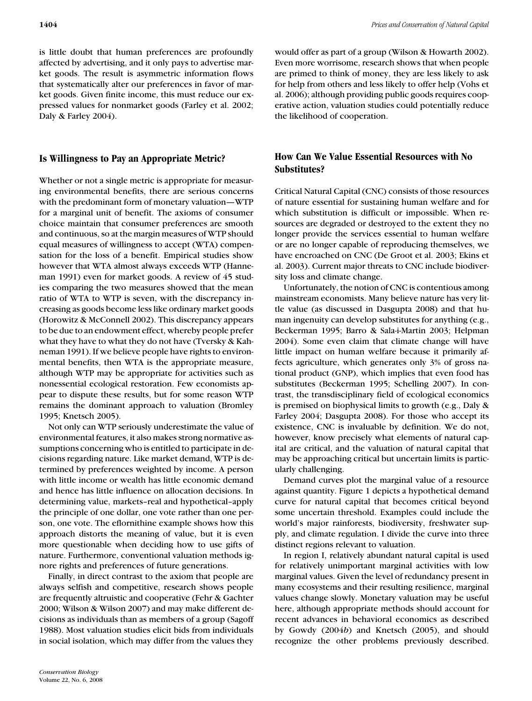is little doubt that human preferences are profoundly affected by advertising, and it only pays to advertise market goods. The result is asymmetric information flows that systematically alter our preferences in favor of market goods. Given finite income, this must reduce our expressed values for nonmarket goods (Farley et al. 2002; Daly & Farley 2004).

### **Is Willingness to Pay an Appropriate Metric?**

Whether or not a single metric is appropriate for measuring environmental benefits, there are serious concerns with the predominant form of monetary valuation—WTP for a marginal unit of benefit. The axioms of consumer choice maintain that consumer preferences are smooth and continuous, so at the margin measures of WTP should equal measures of willingness to accept (WTA) compensation for the loss of a benefit. Empirical studies show however that WTA almost always exceeds WTP (Hanneman 1991) even for market goods. A review of 45 studies comparing the two measures showed that the mean ratio of WTA to WTP is seven, with the discrepancy increasing as goods become less like ordinary market goods (Horowitz & McConnell 2002). This discrepancy appears to be due to an endowment effect, whereby people prefer what they have to what they do not have (Tversky & Kahneman 1991). If we believe people have rights to environmental benefits, then WTA is the appropriate measure, although WTP may be appropriate for activities such as nonessential ecological restoration. Few economists appear to dispute these results, but for some reason WTP remains the dominant approach to valuation (Bromley 1995; Knetsch 2005).

Not only can WTP seriously underestimate the value of environmental features, it also makes strong normative assumptions concerning who is entitled to participate in decisions regarding nature. Like market demand, WTP is determined by preferences weighted by income. A person with little income or wealth has little economic demand and hence has little influence on allocation decisions. In determining value, markets–real and hypothetical–apply the principle of one dollar, one vote rather than one person, one vote. The eflornithine example shows how this approach distorts the meaning of value, but it is even more questionable when deciding how to use gifts of nature. Furthermore, conventional valuation methods ignore rights and preferences of future generations.

Finally, in direct contrast to the axiom that people are always selfish and competitive, research shows people are frequently altruistic and cooperative (Fehr & Gachter 2000; Wilson & Wilson 2007) and may make different decisions as individuals than as members of a group (Sagoff 1988). Most valuation studies elicit bids from individuals in social isolation, which may differ from the values they

would offer as part of a group (Wilson & Howarth 2002). Even more worrisome, research shows that when people are primed to think of money, they are less likely to ask for help from others and less likely to offer help (Vohs et al. 2006); although providing public goods requires cooperative action, valuation studies could potentially reduce the likelihood of cooperation.

# **How Can We Value Essential Resources with No Substitutes?**

Critical Natural Capital (CNC) consists of those resources of nature essential for sustaining human welfare and for which substitution is difficult or impossible. When resources are degraded or destroyed to the extent they no longer provide the services essential to human welfare or are no longer capable of reproducing themselves, we have encroached on CNC (De Groot et al. 2003; Ekins et al. 2003). Current major threats to CNC include biodiversity loss and climate change.

Unfortunately, the notion of CNC is contentious among mainstream economists. Many believe nature has very little value (as discussed in Dasgupta 2008) and that human ingenuity can develop substitutes for anything (e.g., Beckerman 1995; Barro & Sala-i-Martin 2003; Helpman 2004). Some even claim that climate change will have little impact on human welfare because it primarily affects agriculture, which generates only 3% of gross national product (GNP), which implies that even food has substitutes (Beckerman 1995; Schelling 2007). In contrast, the transdisciplinary field of ecological economics is premised on biophysical limits to growth (e.g., Daly & Farley 2004; Dasgupta 2008). For those who accept its existence, CNC is invaluable by definition. We do not, however, know precisely what elements of natural capital are critical, and the valuation of natural capital that may be approaching critical but uncertain limits is particularly challenging.

Demand curves plot the marginal value of a resource against quantity. Figure 1 depicts a hypothetical demand curve for natural capital that becomes critical beyond some uncertain threshold. Examples could include the world's major rainforests, biodiversity, freshwater supply, and climate regulation. I divide the curve into three distinct regions relevant to valuation.

In region I, relatively abundant natural capital is used for relatively unimportant marginal activities with low marginal values. Given the level of redundancy present in many ecosystems and their resulting resilience, marginal values change slowly. Monetary valuation may be useful here, although appropriate methods should account for recent advances in behavioral economics as described by Gowdy (2004*b*) and Knetsch (2005), and should recognize the other problems previously described.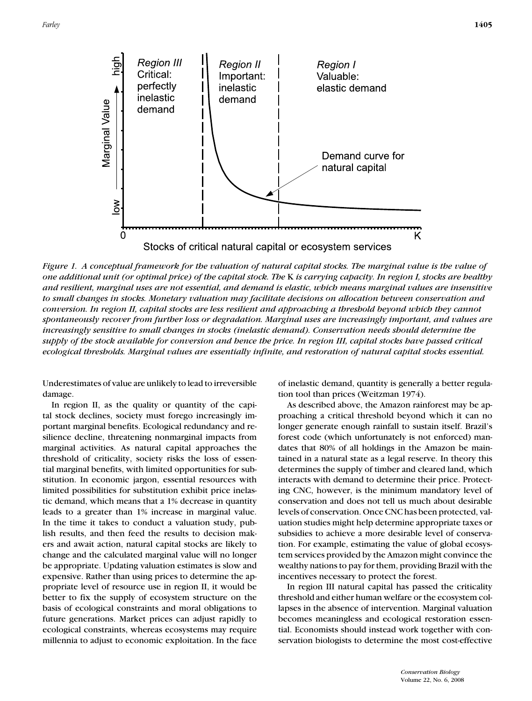

*Figure 1. A conceptual framework for the valuation of natural capital stocks. The marginal value is the value of one additional unit (or optimal price) of the capital stock. The* K *is carrying capacity. In region I, stocks are healthy and resilient, marginal uses are not essential, and demand is elastic, which means marginal values are insensitive to small changes in stocks. Monetary valuation may facilitate decisions on allocation between conservation and conversion. In region II, capital stocks are less resilient and approaching a threshold beyond which they cannot spontaneously recover from further loss or degradation. Marginal uses are increasingly important, and values are increasingly sensitive to small changes in stocks (inelastic demand). Conservation needs should determine the supply of the stock available for conversion and hence the price. In region III, capital stocks have passed critical ecological thresholds. Marginal values are essentially infinite, and restoration of natural capital stocks essential.*

Underestimates of value are unlikely to lead to irreversible damage.

In region II, as the quality or quantity of the capital stock declines, society must forego increasingly important marginal benefits. Ecological redundancy and resilience decline, threatening nonmarginal impacts from marginal activities. As natural capital approaches the threshold of criticality, society risks the loss of essential marginal benefits, with limited opportunities for substitution. In economic jargon, essential resources with limited possibilities for substitution exhibit price inelastic demand, which means that a 1% decrease in quantity leads to a greater than 1% increase in marginal value. In the time it takes to conduct a valuation study, publish results, and then feed the results to decision makers and await action, natural capital stocks are likely to change and the calculated marginal value will no longer be appropriate. Updating valuation estimates is slow and expensive. Rather than using prices to determine the appropriate level of resource use in region II, it would be better to fix the supply of ecosystem structure on the basis of ecological constraints and moral obligations to future generations. Market prices can adjust rapidly to ecological constraints, whereas ecosystems may require millennia to adjust to economic exploitation. In the face of inelastic demand, quantity is generally a better regulation tool than prices (Weitzman 1974).

As described above, the Amazon rainforest may be approaching a critical threshold beyond which it can no longer generate enough rainfall to sustain itself. Brazil's forest code (which unfortunately is not enforced) mandates that 80% of all holdings in the Amazon be maintained in a natural state as a legal reserve. In theory this determines the supply of timber and cleared land, which interacts with demand to determine their price. Protecting CNC, however, is the minimum mandatory level of conservation and does not tell us much about desirable levels of conservation. Once CNC has been protected, valuation studies might help determine appropriate taxes or subsidies to achieve a more desirable level of conservation. For example, estimating the value of global ecosystem services provided by the Amazon might convince the wealthy nations to pay for them, providing Brazil with the incentives necessary to protect the forest.

In region III natural capital has passed the criticality threshold and either human welfare or the ecosystem collapses in the absence of intervention. Marginal valuation becomes meaningless and ecological restoration essential. Economists should instead work together with conservation biologists to determine the most cost-effective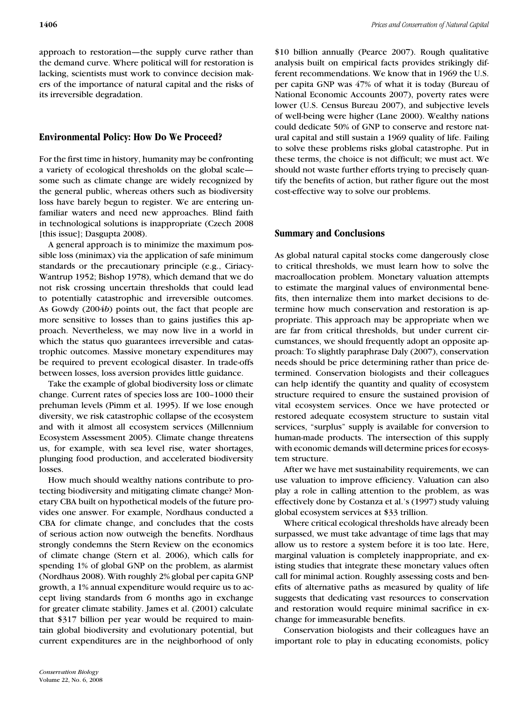approach to restoration—the supply curve rather than the demand curve. Where political will for restoration is lacking, scientists must work to convince decision makers of the importance of natural capital and the risks of its irreversible degradation.

## **Environmental Policy: How Do We Proceed?**

For the first time in history, humanity may be confronting a variety of ecological thresholds on the global scale some such as climate change are widely recognized by the general public, whereas others such as biodiversity loss have barely begun to register. We are entering unfamiliar waters and need new approaches. Blind faith in technological solutions is inappropriate (Czech 2008 [this issue]; Dasgupta 2008).

A general approach is to minimize the maximum possible loss (minimax) via the application of safe minimum standards or the precautionary principle (e.g., Ciriacy-Wantrup 1952; Bishop 1978), which demand that we do not risk crossing uncertain thresholds that could lead to potentially catastrophic and irreversible outcomes. As Gowdy (2004*b*) points out, the fact that people are more sensitive to losses than to gains justifies this approach. Nevertheless, we may now live in a world in which the status quo guarantees irreversible and catastrophic outcomes. Massive monetary expenditures may be required to prevent ecological disaster. In trade-offs between losses, loss aversion provides little guidance.

Take the example of global biodiversity loss or climate change. Current rates of species loss are 100–1000 their prehuman levels (Pimm et al. 1995). If we lose enough diversity, we risk catastrophic collapse of the ecosystem and with it almost all ecosystem services (Millennium Ecosystem Assessment 2005). Climate change threatens us, for example, with sea level rise, water shortages, plunging food production, and accelerated biodiversity losses.

How much should wealthy nations contribute to protecting biodiversity and mitigating climate change? Monetary CBA built on hypothetical models of the future provides one answer. For example, Nordhaus conducted a CBA for climate change, and concludes that the costs of serious action now outweigh the benefits. Nordhaus strongly condemns the Stern Review on the economics of climate change (Stern et al. 2006), which calls for spending 1% of global GNP on the problem, as alarmist (Nordhaus 2008). With roughly 2% global per capita GNP growth, a 1% annual expenditure would require us to accept living standards from 6 months ago in exchange for greater climate stability. James et al. (2001) calculate that \$317 billion per year would be required to maintain global biodiversity and evolutionary potential, but current expenditures are in the neighborhood of only

\$10 billion annually (Pearce 2007). Rough qualitative analysis built on empirical facts provides strikingly different recommendations. We know that in 1969 the U.S. per capita GNP was 47% of what it is today (Bureau of National Economic Accounts 2007), poverty rates were lower (U.S. Census Bureau 2007), and subjective levels of well-being were higher (Lane 2000). Wealthy nations could dedicate 50% of GNP to conserve and restore natural capital and still sustain a 1969 quality of life. Failing to solve these problems risks global catastrophe. Put in these terms, the choice is not difficult; we must act. We should not waste further efforts trying to precisely quantify the benefits of action, but rather figure out the most cost-effective way to solve our problems.

# **Summary and Conclusions**

As global natural capital stocks come dangerously close to critical thresholds, we must learn how to solve the macroallocation problem. Monetary valuation attempts to estimate the marginal values of environmental benefits, then internalize them into market decisions to determine how much conservation and restoration is appropriate. This approach may be appropriate when we are far from critical thresholds, but under current circumstances, we should frequently adopt an opposite approach: To slightly paraphrase Daly (2007), conservation needs should be price determining rather than price determined. Conservation biologists and their colleagues can help identify the quantity and quality of ecosystem structure required to ensure the sustained provision of vital ecosystem services. Once we have protected or restored adequate ecosystem structure to sustain vital services, "surplus" supply is available for conversion to human-made products. The intersection of this supply with economic demands will determine prices for ecosystem structure.

After we have met sustainability requirements, we can use valuation to improve efficiency. Valuation can also play a role in calling attention to the problem, as was effectively done by Costanza et al.'s (1997) study valuing global ecosystem services at \$33 trillion.

Where critical ecological thresholds have already been surpassed, we must take advantage of time lags that may allow us to restore a system before it is too late. Here, marginal valuation is completely inappropriate, and existing studies that integrate these monetary values often call for minimal action. Roughly assessing costs and benefits of alternative paths as measured by quality of life suggests that dedicating vast resources to conservation and restoration would require minimal sacrifice in exchange for immeasurable benefits.

Conservation biologists and their colleagues have an important role to play in educating economists, policy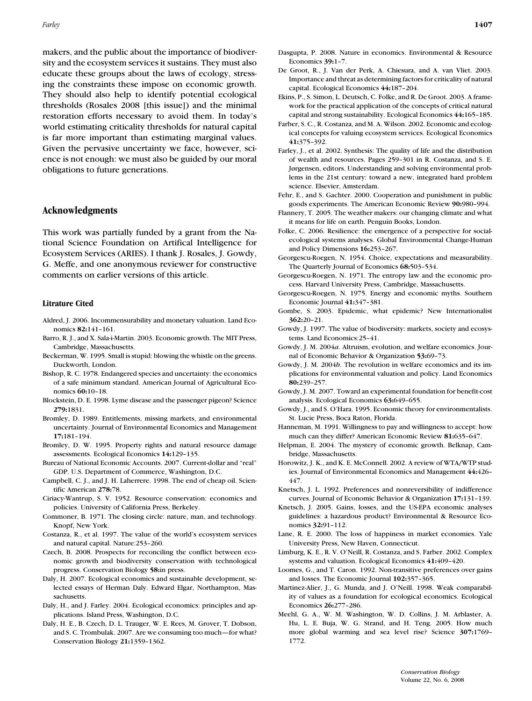makers, and the public about the importance of biodiversity and the ecosystem services it sustains. They must also educate these groups about the laws of ecology, stressing the constraints these impose on economic growth. They should also help to identify potential ecological thresholds (Rosales 2008 [this issue]) and the minimal restoration efforts necessary to avoid them. In today's world estimating criticality thresholds for natural capital is far more important than estimating marginal values. Given the pervasive uncertainty we face, however, science is not enough: we must also be guided by our moral obligations to future generations.

#### **Acknowledgments**

This work was partially funded by a grant from the National Science Foundation on Artifical Intelligence for Ecosystem Services (ARIES). I thank J. Rosales, J. Gowdy, G. Meffe, and one anonymous reviewer for constructive comments on earlier versions of this article.

#### **Litrature Cited**

- Aldred, J. 2006. Incommensurability and monetary valuation. Land Economics **82:**141–161.
- Barro, R. J., and X. Sala-i-Martin. 2003. Economic growth. The MIT Press, Cambridge, Massachusetts.
- Beckerman, W. 1995. Small is stupid: blowing the whistle on the greens. Duckworth, London.
- Bishop, R. C. 1978. Endangered species and uncertainty: the economics of a safe minimum standard. American Journal of Agricultural Economics **60:**10–18.
- Blockstein, D. E. 1998. Lyme disease and the passenger pigeon? Science **279:**1831.
- Bromley, D. 1989. Entitlements, missing markets, and environmental uncertainty. Journal of Environmental Economics and Management **17:**181–194.
- Bromley, D. W. 1995. Property rights and natural resource damage assessments. Ecological Economics **14:**129–135.
- Bureau of National Economic Accounts. 2007. Current-dollar and "real" GDP. U.S. Department of Commerce, Washington, D.C.
- Campbell, C. J., and J. H. Laherrere. 1998. The end of cheap oil. Scientific American **278:**78.
- Ciriacy-Wantrup, S. V. 1952. Resource conservation: economics and policies. University of California Press, Berkeley.
- Commoner, B. 1971. The closing circle: nature, man, and technology. Knopf, New York.
- Costanza, R., et al. 1997. The value of the world's ecosystem services and natural capital. Nature:253–260.
- Czech, B. 2008. Prospects for reconciling the conflict between economic growth and biodiversity conservation with technological progress. Conservation Biology **58:**in press.
- Daly, H. 2007. Ecological economics and sustainable development, selected essays of Herman Daly. Edward Elgar, Northampton, Massachusetts.
- Daly, H., and J. Farley. 2004. Ecological economics: principles and applications. Island Press, Washington, D.C.
- Daly, H. E., B. Czech, D. L. Trauger, W. E. Rees, M. Grover, T. Dobson, and S. C. Trombulak. 2007. Are we consuming too much—for what? Conservation Biology **21:**1359–1362.
- Dasgupta, P. 2008. Nature in economics. Environmental & Resource Economics **39:**1–7.
- De Groot, R., J. Van der Perk, A. Chiesura, and A. van Vliet. 2003. Importance and threat as determining factors for criticality of natural capital. Ecological Economics **44:**187–204.
- Ekins, P., S. Simon, L. Deutsch, C. Folke, and R. De Groot. 2003. A framework for the practical application of the concepts of critical natural capital and strong sustainability. Ecological Economics **44:**165–185.
- Farber, S. C., R. Costanza, and M. A. Wilson. 2002. Economic and ecological concepts for valuing ecosystem services. Ecological Economics **41:**375–392.
- Farley, J., et al. 2002. Synthesis: The quality of life and the distribution of wealth and resources. Pages 259–301 in R. Costanza, and S. E. Jørgensen, editors. Understanding and solving environmental problems in the 21st century: toward a new, integrated hard problem science. Elsevier, Amsterdam.
- Fehr, E., and S. Gachter. 2000. Cooperation and punishment in public goods experiments. The American Economic Review **90:**980–994.
- Flannery, T. 2005. The weather makers: our changing climate and what it means for life on earth. Penguin Books, London.
- Folke, C. 2006. Resilience: the emergence of a perspective for socialecological systems analyses. Global Environmental Change-Human and Policy Dimensions **16:**253–267.
- Georgescu-Roegen, N. 1954. Choice, expectations and measurability. The Quarterly Journal of Economics **68:**503–534.
- Georgescu-Roegen, N. 1971. The entropy law and the economic process. Harvard University Press, Cambridge, Massachusetts.
- Georgescu-Roegen, N. 1975. Energy and economic myths. Southern Economic Journal **41:**347–381.
- Gombe, S. 2003. Epidemic, what epidemic? New Internationalist **362:**20–21.
- Gowdy, J. 1997. The value of biodiversity: markets, society and ecosystems. Land Economics:25–41.
- Gowdy, J. M. 2004*a*. Altruism, evolution, and welfare economics. Journal of Economic Behavior & Organization **53:**69–73.
- Gowdy, J. M. 2004*b*. The revolution in welfare economics and its implications for environmental valuation and policy. Land Economics **80:**239–257.
- Gowdy, J. M. 2007. Toward an experimental foundation for benefit-cost analysis. Ecological Economics **63:**649–655.
- Gowdy, J., and S. O'Hara. 1995. Economic theory for environmentalists. St. Lucie Press, Boca Raton, Florida.
- Hanneman, M. 1991. Willingness to pay and willingness to accept: how much can they differ? American Economic Review **81:**635–647.
- Helpman, E. 2004. The mystery of economic growth. Belknap, Cambridge, Massachusetts.
- Horowitz, J. K., and K. E. McConnell. 2002. A review of WTA/WTP studies. Journal of Environmental Economics and Management **44:**426– 447.
- Knetsch, J. L. 1992. Preferences and nonreversibility of indifference curves. Journal of Economic Behavior & Organization **17:**131–139.
- Knetsch, J. 2005. Gains, losses, and the US-EPA economic analyses guidelines: a hazardous product? Environmental & Resource Economics **32:**91–112.
- Lane, R. E. 2000. The loss of happiness in market economies. Yale University Press, New Haven, Connecticut.
- Limburg, K. E., R. V. O'Neill, R. Costanza, and S. Farber. 2002. Complex systems and valuation. Ecological Economics **41:**409–420.
- Loomes, G., and T. Caron. 1992. Non-transitive preferences over gains and losses. The Economic Journal **102:**357–365.
- Martinez-Alier, J., G. Munda, and J. O'Neill. 1998. Weak comparability of values as a foundation for ecological economics. Ecological Economics **26:**277–286.
- Meehl, G. A., W. M. Washington, W. D. Collins, J. M. Arblaster, A. Hu, L. E. Buja, W. G. Strand, and H. Teng. 2005. How much more global warming and sea level rise? Science **307:**1769– 1772.